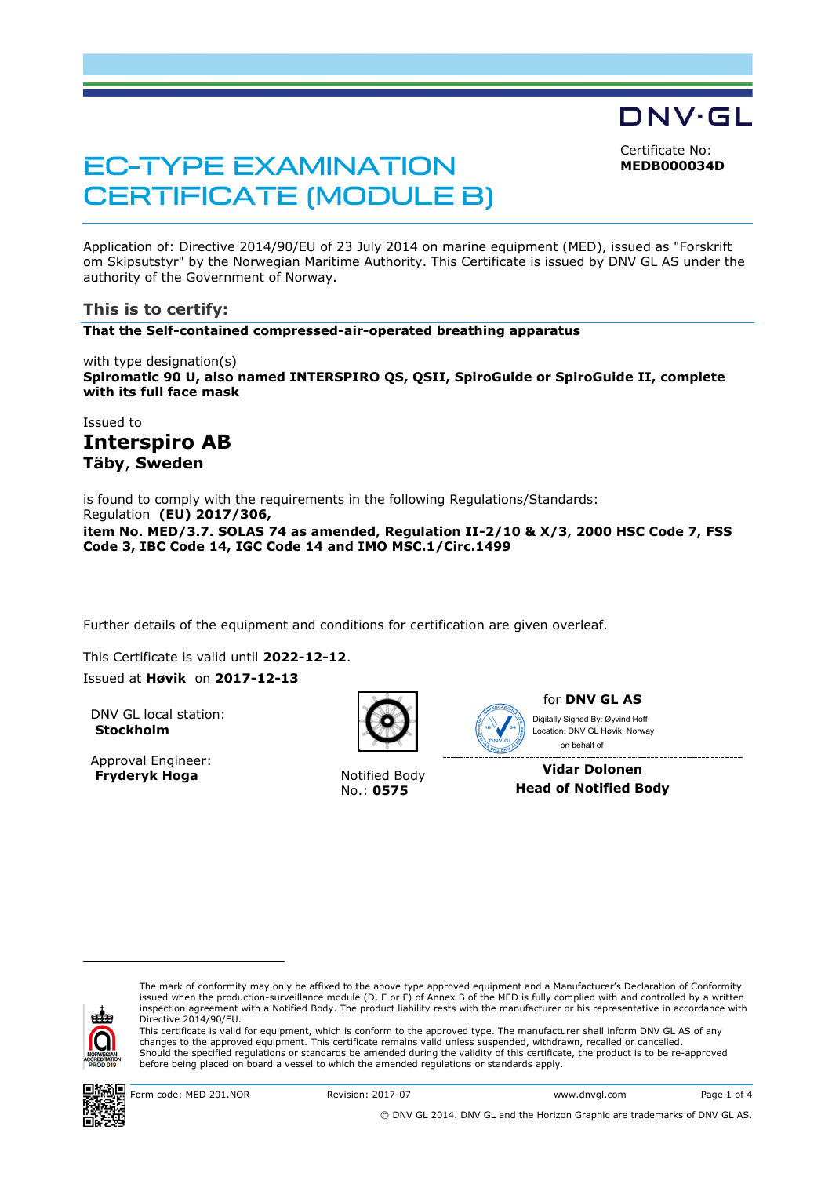Certificate No:

DNV·GL

**MEDB000034D**

# **EC-TYPE EXAMINATION CERTIFICATE (MODULE B)**

Application of: Directive 2014/90/EU of 23 July 2014 on marine equipment (MED), issued as "Forskrift om Skipsutstyr" by the Norwegian Maritime Authority. This Certificate is issued by DNV GL AS under the authority of the Government of Norway.

# **This is to certify:**

**That the Self-contained compressed-air-operated breathing apparatus**

with type designation(s) **Spiromatic 90 U, also named INTERSPIRO QS, QSII, SpiroGuide or SpiroGuide II, complete with its full face mask**

# Issued to **Interspiro AB Täby**, **Sweden**

is found to comply with the requirements in the following Regulations/Standards: Regulation **(EU) 2017/306, item No. MED/3.7. SOLAS 74 as amended, Regulation II-2/10 & X/3, 2000 HSC Code 7, FSS Code 3, IBC Code 14, IGC Code 14 and IMO MSC.1/Circ.1499**

Further details of the equipment and conditions for certification are given overleaf.

This Certificate is valid until **2022-12-12**.

Issued at **Høvik** on **2017-12-13**

DNV GL local station: **Stockholm**

Approval Engineer: **Fryderyk Hoga** Notified Body



No.: **0575**



for **DNV GL AS** Digitally Signed By: Øyvind Hoff

 on behalf ofLocation: DNV GL Høvik, Norway

**Vidar Dolonen Head of Notified Body**



ı

The mark of conformity may only be affixed to the above type approved equipment and a Manufacturer's Declaration of Conformity<br>issued when the production-surveillance module (D, E or F) of Annex B of the MED is fully compl inspection agreement with a Notified Body. The product liability rests with the manufacturer or his representative in accordance with Directive 2014/90/EU.

This certificate is valid for equipment, which is conform to the approved type. The manufacturer shall inform DNV GL AS of any changes to the approved equipment. This certificate remains valid unless suspended, withdrawn, recalled or cancelled. Should the specified regulations or standards be amended during the validity of this certificate, the product is to be re-approved before being placed on board a vessel to which the amended regulations or standards apply.

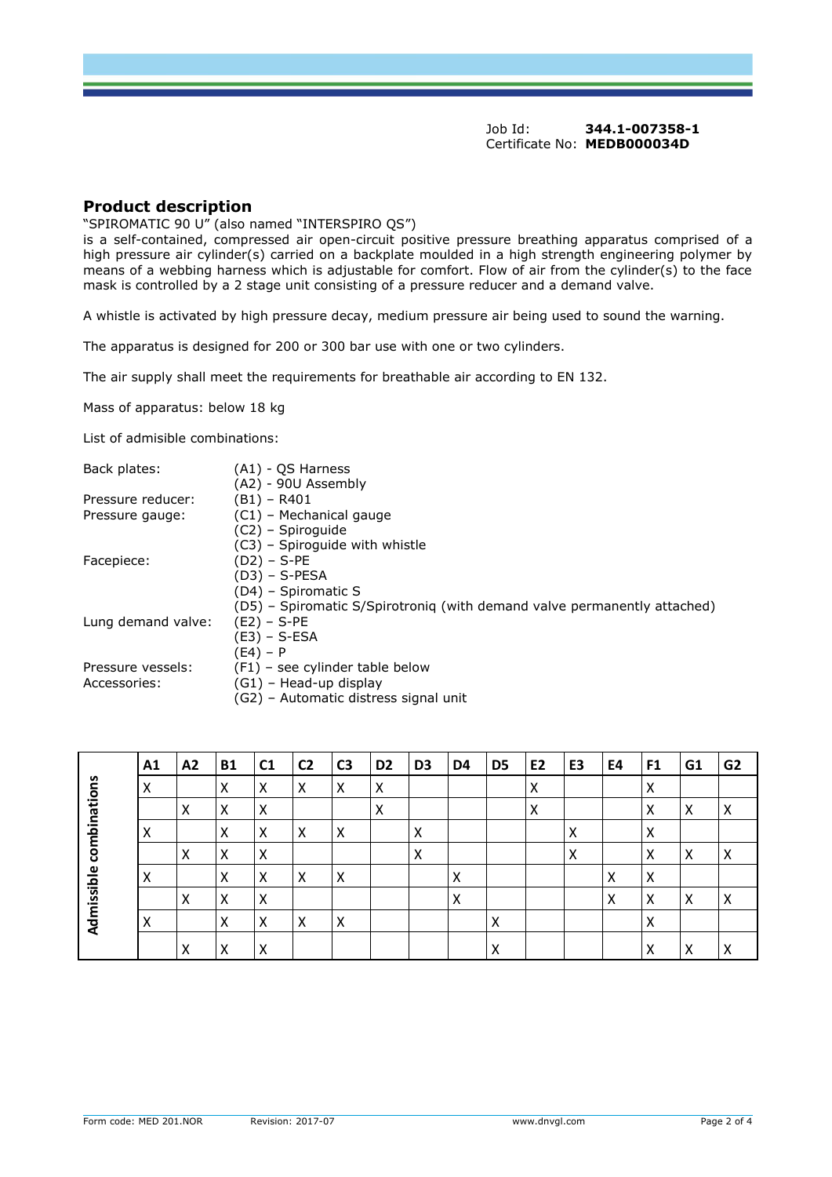### **Product description**

"SPIROMATIC 90 U" (also named "INTERSPIRO QS")

is a self-contained, compressed air open-circuit positive pressure breathing apparatus comprised of a high pressure air cylinder(s) carried on a backplate moulded in a high strength engineering polymer by means of a webbing harness which is adjustable for comfort. Flow of air from the cylinder(s) to the face mask is controlled by a 2 stage unit consisting of a pressure reducer and a demand valve.

A whistle is activated by high pressure decay, medium pressure air being used to sound the warning.

The apparatus is designed for 200 or 300 bar use with one or two cylinders.

The air supply shall meet the requirements for breathable air according to EN 132.

Mass of apparatus: below 18 kg

List of admisible combinations:

| Back plates:                      | (A1) - OS Harness                                                        |
|-----------------------------------|--------------------------------------------------------------------------|
|                                   | (A2) - 90U Assembly                                                      |
| Pressure reducer:                 | (B1) – R401                                                              |
| Pressure gauge:                   | (C1) - Mechanical gauge                                                  |
|                                   | (C2) - Spiroguide                                                        |
|                                   | (C3) – Spiroquide with whistle                                           |
| Facepiece:                        | $(D2) - S-PE$                                                            |
|                                   | (D3) – S-PESA                                                            |
|                                   | (D4) – Spiromatic S                                                      |
|                                   | (D5) - Spiromatic S/Spirotroniq (with demand valve permanently attached) |
| Lung demand valve:                | $(E2) - S-PE$                                                            |
|                                   | (E3) – S-ESA                                                             |
|                                   | (E4) – P                                                                 |
| Pressure vessels:<br>Accessories: | (F1) – see cylinder table below                                          |
|                                   | (G1) – Head-up display                                                   |
|                                   | (G2) - Automatic distress signal unit                                    |
|                                   |                                                                          |

|                            | A1 | A2 | <b>B1</b> | C <sub>1</sub> | C <sub>2</sub> | C <sub>3</sub> | D <sub>2</sub> | D <sub>3</sub> | D4     | D <sub>5</sub> | E <sub>2</sub> | E3 | E4 | F1 | G1 | G <sub>2</sub> |
|----------------------------|----|----|-----------|----------------|----------------|----------------|----------------|----------------|--------|----------------|----------------|----|----|----|----|----------------|
| combinations<br>Admissible | X  |    | X         | Χ              | X              | X              | X              |                |        |                | X              |    |    |    |    |                |
|                            |    | ∧  | X         | ∧              |                |                |                |                |        |                | X              |    |    |    | ∧  | ∧              |
|                            | ∧  |    | X         | x              | х              | $\lambda$      |                | Λ              |        |                |                | х  |    | ∧  |    |                |
|                            |    | v  | X         | л              |                |                |                | ⋏              |        |                |                | х  |    | v  | v  | ⋏              |
|                            | ∧  |    | X         | х              | х              | $\lambda$      |                |                | x      |                |                |    | ⋏  | ⋏  |    |                |
|                            |    | ∧  | X         | v<br>∧         |                |                |                |                | v<br>⋏ |                |                |    | ∧  | A  | ∧  | ́              |
|                            | ∧  |    | X         | x              | X              | X              |                |                |        | Х              |                |    |    | v  |    |                |
|                            |    | ́  | v<br>∧    | Λ              |                |                |                |                |        | ∧              |                |    |    |    |    |                |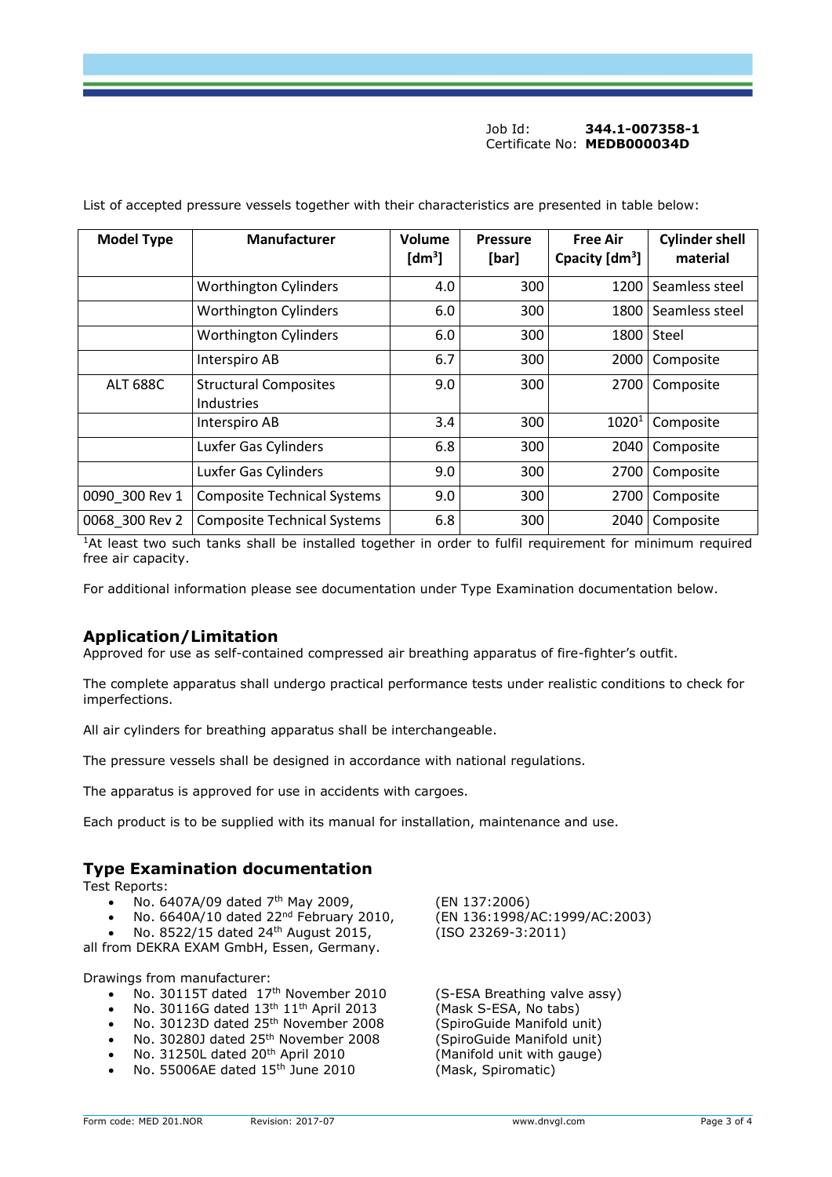#### Job Id: **344.1-007358-1** Certificate No: **MEDB000034D**

| <b>Model Type</b> | <b>Manufacturer</b>                        | Volume<br>$\lceil dm^3 \rceil$ | <b>Pressure</b><br>[bar] | <b>Free Air</b><br>Cpacity $[dm^3]$ | <b>Cylinder shell</b><br>material |  |
|-------------------|--------------------------------------------|--------------------------------|--------------------------|-------------------------------------|-----------------------------------|--|
|                   | <b>Worthington Cylinders</b>               | 4.0                            | 300                      | 1200                                | Seamless steel                    |  |
|                   | <b>Worthington Cylinders</b>               | 6.0                            | 300                      | 1800                                | Seamless steel                    |  |
|                   | <b>Worthington Cylinders</b>               | 6.0                            | 300                      | 1800                                | Steel                             |  |
|                   | Interspiro AB                              | 6.7                            | 300                      | 2000                                | Composite                         |  |
| <b>ALT 688C</b>   | <b>Structural Composites</b><br>Industries | 9.0                            | 300                      | 2700                                | Composite                         |  |
|                   | Interspiro AB                              | 3.4                            | 300                      | $1020^1$                            | Composite                         |  |
|                   | Luxfer Gas Cylinders                       | 6.8                            | 300                      | 2040                                | Composite                         |  |
|                   | Luxfer Gas Cylinders                       | 9.0                            | 300                      | 2700                                | Composite                         |  |
| 0090_300 Rev 1    | <b>Composite Technical Systems</b>         | 9.0                            | 300                      | 2700                                | Composite                         |  |
| 0068_300 Rev 2    | <b>Composite Technical Systems</b>         | 6.8                            | 300                      | 2040                                | Composite                         |  |

List of accepted pressure vessels together with their characteristics are presented in table below:

<sup>1</sup>At least two such tanks shall be installed together in order to fulfil requirement for minimum required free air capacity.

For additional information please see documentation under Type Examination documentation below.

## **Application/Limitation**

Approved for use as self-contained compressed air breathing apparatus of fire-fighter's outfit.

The complete apparatus shall undergo practical performance tests under realistic conditions to check for imperfections.

All air cylinders for breathing apparatus shall be interchangeable.

The pressure vessels shall be designed in accordance with national regulations.

The apparatus is approved for use in accidents with cargoes.

Each product is to be supplied with its manual for installation, maintenance and use.

## **Type Examination documentation**

Test Reports:

- 
- No.  $6640A/10$  dated 22<sup>nd</sup> February 2010,
- No. 8522/15 dated 24<sup>th</sup> August 2015, (ISO 23269-3:2011)

all from DEKRA EXAM GmbH, Essen, Germany.

Drawings from manufacturer:

- No. 30115T dated 17th November 2010 (S-ESA Breathing valve assy)
- No. 30116G dated 13th 11th April 2013 (Mask S-ESA, No tabs)
- No. 30123D dated 25th November 2008 (SpiroGuide Manifold unit)
- No. 30280J dated 25<sup>th</sup> November 2008 (SpiroGuide Manifold unit)
- No. 31250L dated 20th April 2010 (Manifold unit with gauge)
- No. 55006AE dated 15th June 2010 (Mask, Spiromatic)

No. 6407A/09 dated 7<sup>th</sup> May 2009, (EN 137:2006)<br>No. 6640A/10 dated 22<sup>nd</sup> February 2010, (EN 136:1998/AC:1999/AC:2003)